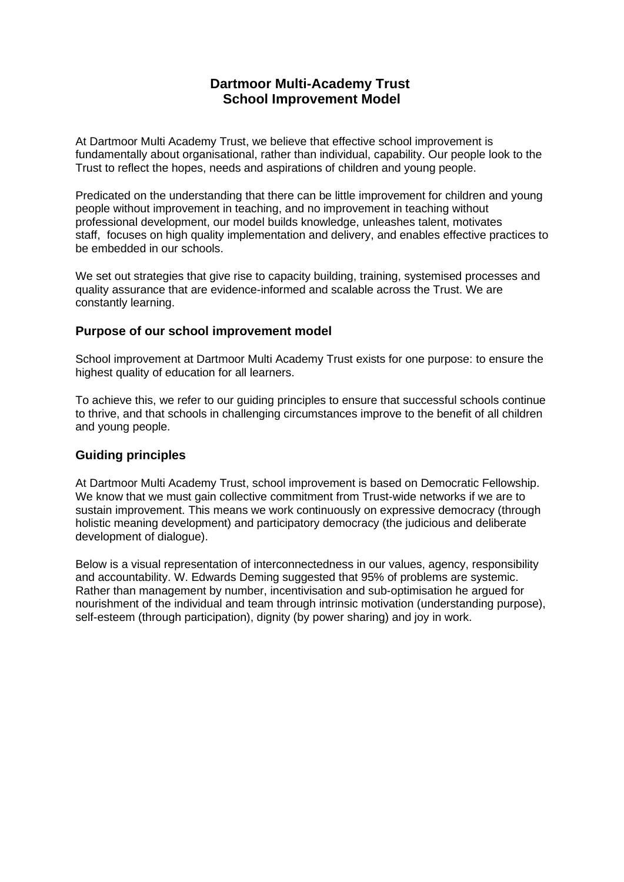# **Dartmoor Multi-Academy Trust School Improvement Model**

At Dartmoor Multi Academy Trust, we believe that effective school improvement is fundamentally about organisational, rather than individual, capability. Our people look to the Trust to reflect the hopes, needs and aspirations of children and young people.

Predicated on the understanding that there can be little improvement for children and young people without improvement in teaching, and no improvement in teaching without professional development, our model builds knowledge, unleashes talent, motivates staff, focuses on high quality implementation and delivery, and enables effective practices to be embedded in our schools.

We set out strategies that give rise to capacity building, training, systemised processes and quality assurance that are evidence-informed and scalable across the Trust. We are constantly learning.

## **Purpose of our school improvement model**

School improvement at Dartmoor Multi Academy Trust exists for one purpose: to ensure the highest quality of education for all learners.

To achieve this, we refer to our guiding principles to ensure that successful schools continue to thrive, and that schools in challenging circumstances improve to the benefit of all children and young people.

### **Guiding principles**

At Dartmoor Multi Academy Trust, school improvement is based on Democratic Fellowship. We know that we must gain collective commitment from Trust-wide networks if we are to sustain improvement. This means we work continuously on expressive democracy (through holistic meaning development) and participatory democracy (the judicious and deliberate development of dialogue).

Below is a visual representation of interconnectedness in our values, agency, responsibility and accountability. W. Edwards Deming suggested that 95% of problems are systemic. Rather than management by number, incentivisation and sub-optimisation he argued for nourishment of the individual and team through intrinsic motivation (understanding purpose), self-esteem (through participation), dignity (by power sharing) and joy in work.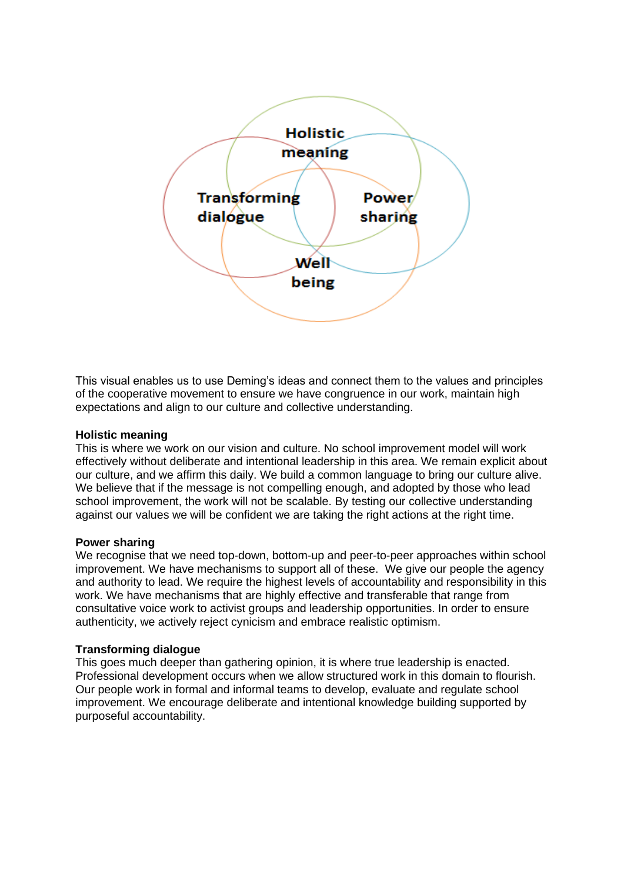

This visual enables us to use Deming's ideas and connect them to the values and principles of the cooperative movement to ensure we have congruence in our work, maintain high expectations and align to our culture and collective understanding.

#### **Holistic meaning**

This is where we work on our vision and culture. No school improvement model will work effectively without deliberate and intentional leadership in this area. We remain explicit about our culture, and we affirm this daily. We build a common language to bring our culture alive. We believe that if the message is not compelling enough, and adopted by those who lead school improvement, the work will not be scalable. By testing our collective understanding against our values we will be confident we are taking the right actions at the right time.

### **Power sharing**

We recognise that we need top-down, bottom-up and peer-to-peer approaches within school improvement. We have mechanisms to support all of these. We give our people the agency and authority to lead. We require the highest levels of accountability and responsibility in this work. We have mechanisms that are highly effective and transferable that range from consultative voice work to activist groups and leadership opportunities. In order to ensure authenticity, we actively reject cynicism and embrace realistic optimism.

### **Transforming dialogue**

This goes much deeper than gathering opinion, it is where true leadership is enacted. Professional development occurs when we allow structured work in this domain to flourish. Our people work in formal and informal teams to develop, evaluate and regulate school improvement. We encourage deliberate and intentional knowledge building supported by purposeful accountability.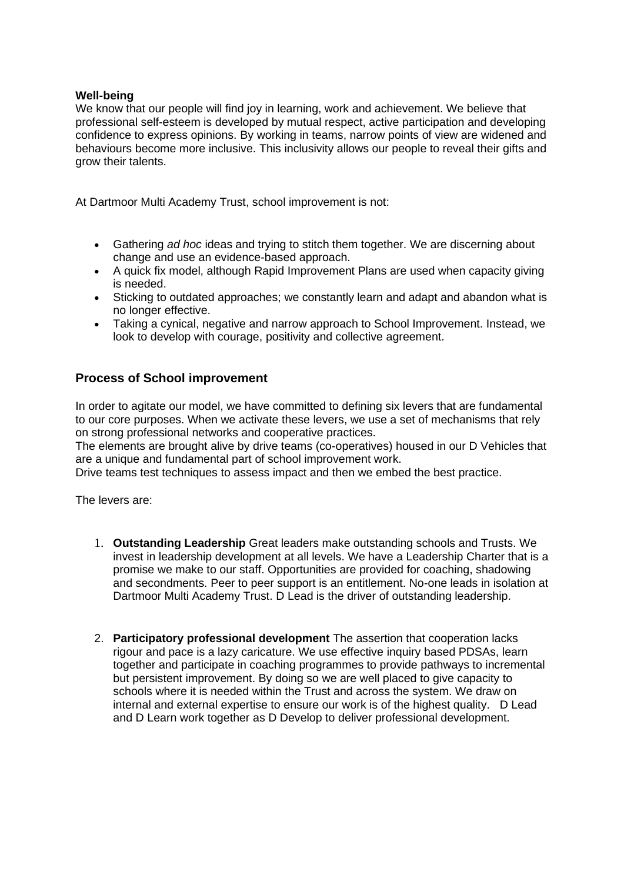### **Well-being**

We know that our people will find joy in learning, work and achievement. We believe that professional self-esteem is developed by mutual respect, active participation and developing confidence to express opinions. By working in teams, narrow points of view are widened and behaviours become more inclusive. This inclusivity allows our people to reveal their gifts and grow their talents.

At Dartmoor Multi Academy Trust, school improvement is not:

- Gathering *ad hoc* ideas and trying to stitch them together. We are discerning about change and use an evidence-based approach.
- A quick fix model, although Rapid Improvement Plans are used when capacity giving is needed.
- Sticking to outdated approaches; we constantly learn and adapt and abandon what is no longer effective.
- Taking a cynical, negative and narrow approach to School Improvement. Instead, we look to develop with courage, positivity and collective agreement.

## **Process of School improvement**

In order to agitate our model, we have committed to defining six levers that are fundamental to our core purposes. When we activate these levers, we use a set of mechanisms that rely on strong professional networks and cooperative practices.

The elements are brought alive by drive teams (co-operatives) housed in our D Vehicles that are a unique and fundamental part of school improvement work.

Drive teams test techniques to assess impact and then we embed the best practice.

The levers are:

- 1. **Outstanding Leadership** Great leaders make outstanding schools and Trusts. We invest in leadership development at all levels. We have a Leadership Charter that is a promise we make to our staff. Opportunities are provided for coaching, shadowing and secondments. Peer to peer support is an entitlement. No-one leads in isolation at Dartmoor Multi Academy Trust. D Lead is the driver of outstanding leadership.
- 2. **Participatory professional development** The assertion that cooperation lacks rigour and pace is a lazy caricature. We use effective inquiry based PDSAs, learn together and participate in coaching programmes to provide pathways to incremental but persistent improvement. By doing so we are well placed to give capacity to schools where it is needed within the Trust and across the system. We draw on internal and external expertise to ensure our work is of the highest quality. D Lead and D Learn work together as D Develop to deliver professional development.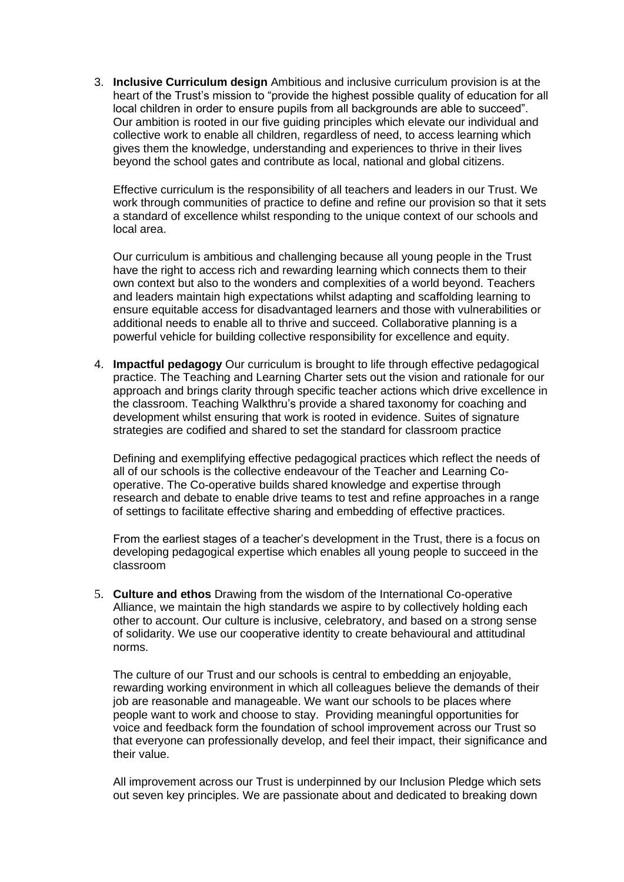3. **Inclusive Curriculum design** Ambitious and inclusive curriculum provision is at the heart of the Trust's mission to "provide the highest possible quality of education for all local children in order to ensure pupils from all backgrounds are able to succeed". Our ambition is rooted in our five guiding principles which elevate our individual and collective work to enable all children, regardless of need, to access learning which gives them the knowledge, understanding and experiences to thrive in their lives beyond the school gates and contribute as local, national and global citizens.

Effective curriculum is the responsibility of all teachers and leaders in our Trust. We work through communities of practice to define and refine our provision so that it sets a standard of excellence whilst responding to the unique context of our schools and local area.

Our curriculum is ambitious and challenging because all young people in the Trust have the right to access rich and rewarding learning which connects them to their own context but also to the wonders and complexities of a world beyond. Teachers and leaders maintain high expectations whilst adapting and scaffolding learning to ensure equitable access for disadvantaged learners and those with vulnerabilities or additional needs to enable all to thrive and succeed. Collaborative planning is a powerful vehicle for building collective responsibility for excellence and equity.

4. **Impactful pedagogy** Our curriculum is brought to life through effective pedagogical practice. The Teaching and Learning Charter sets out the vision and rationale for our approach and brings clarity through specific teacher actions which drive excellence in the classroom. Teaching Walkthru's provide a shared taxonomy for coaching and development whilst ensuring that work is rooted in evidence. Suites of signature strategies are codified and shared to set the standard for classroom practice

Defining and exemplifying effective pedagogical practices which reflect the needs of all of our schools is the collective endeavour of the Teacher and Learning Cooperative. The Co-operative builds shared knowledge and expertise through research and debate to enable drive teams to test and refine approaches in a range of settings to facilitate effective sharing and embedding of effective practices.

From the earliest stages of a teacher's development in the Trust, there is a focus on developing pedagogical expertise which enables all young people to succeed in the classroom

5. **Culture and ethos** Drawing from the wisdom of the International Co-operative Alliance, we maintain the high standards we aspire to by collectively holding each other to account. Our culture is inclusive, celebratory, and based on a strong sense of solidarity. We use our cooperative identity to create behavioural and attitudinal norms.

The culture of our Trust and our schools is central to embedding an enjoyable, rewarding working environment in which all colleagues believe the demands of their job are reasonable and manageable. We want our schools to be places where people want to work and choose to stay. Providing meaningful opportunities for voice and feedback form the foundation of school improvement across our Trust so that everyone can professionally develop, and feel their impact, their significance and their value.

All improvement across our Trust is underpinned by our Inclusion Pledge which sets out seven key principles. We are passionate about and dedicated to breaking down